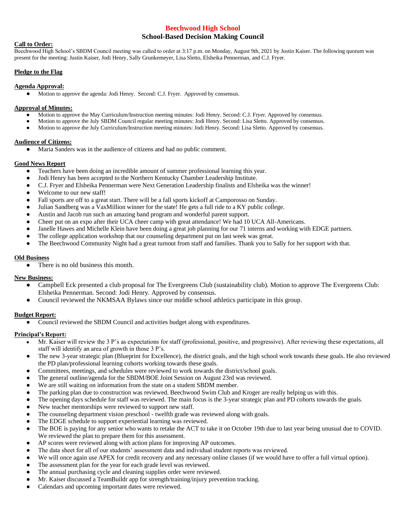# **Beechwood High School School-Based Decision Making Council**

## **Call to Order:**

Beechwood High School's SBDM Council meeting was called to order at 3:17 p.m. on Monday, August 9th, 2021 by Justin Kaiser. The following quorum was present for the meeting: Justin Kaiser, Jodi Henry, Sally Grunkemeyer, Lisa Sletto, Elsheika Pennerman, and C.J. Fryer.

## **Pledge to the Flag**

# **Agenda Approval:**

● Motion to approve the agenda: Jodi Henry. Second: C.J. Fryer. Approved by consensus.

#### **Approval of Minutes:**

- Motion to approve the May Curriculum/Instruction meeting minutes: Jodi Henry. Second: C.J. Fryer. Approved by consensus.
- Motion to approve the July SBDM Council regular meeting minutes: Jodi Henry. Second: Lisa Sletto. Approved by consensus.
- Motion to approve the July Curriculum/Instruction meeting minutes: Jodi Henry. Second: Lisa Sletto. Approved by consensus.

#### **Audience of Citizens:**

● Maria Sanders was in the audience of citizens and had no public comment.

## **Good News Report**

- Teachers have been doing an incredible amount of summer professional learning this year.
- Jodi Henry has been accepted to the Northern Kentucky Chamber Leadership Institute.
- C.J. Fryer and Elsheika Pennerman were Next Generation Leadership finalists and Elsheika was the winner!
- Welcome to our new staff!
- Fall sports are off to a great start. There will be a fall sports kickoff at Camporosso on Sunday.
- Julian Sandberg was a VaxMillion winner for the state! He gets a full ride to a KY public college.
- Austin and Jacob run such an amazing band program and wonderful parent support.
- Cheer put on an expo after their UCA cheer camp with great attendance! We had 10 UCA All-Americans.
- Janelle Hawes and Michelle Klein have been doing a great job planning for our 71 interns and working with EDGE partners.
- The college application workshop that our counseling department put on last week was great.
- The Beechwood Community Night had a great turnout from staff and families. Thank you to Sally for her support with that.

## **Old Business**

There is no old business this month.

# **New Business:**

- Campbell Eck presented a club proposal for The Evergreens Club (sustainability club). Motion to approve The Evergreens Club: Elsheika Pennerman. Second: Jodi Henry. Approved by consensus.
- Council reviewed the NKMSAA Bylaws since our middle school athletics participate in this group.

# **Budget Report:**

Council reviewed the SBDM Council and activities budget along with expenditures.

# **Principal's Report:**

- Mr. Kaiser will review the 3 P's as expectations for staff (professional, positive, and progressive). After reviewing these expectations, all staff will identify an area of growth in those 3 P's.
- The new 3-year strategic plan (Blueprint for Excellence), the district goals, and the high school work towards these goals. He also reviewed the PD plan/professional learning cohorts working towards these goals.
- Committees, meetings, and schedules were reviewed to work towards the district/school goals.
- The general outline/agenda for the SBDM/BOE Joint Session on August 23rd was reviewed.
- We are still waiting on information from the state on a student SBDM member.
- The parking plan due to construction was reviewed. Beechwood Swim Club and Kroger are really helping us with this.
- The opening days schedule for staff was reviewed. The main focus is the 3-year strategic plan and PD cohorts towards the goals.
- New teacher mentorships were reviewed to support new staff.
- The counseling department vision preschool twelfth grade was reviewed along with goals.
- The EDGE schedule to support experiential learning was reviewed.
- The BOE is paying for any senior who wants to retake the ACT to take it on October 19th due to last year being unusual due to COVID. We reviewed the plan to prepare them for this assessment.
- AP scores were reviewed along with action plans for improving AP outcomes.
- The data sheet for all of our students' assessment data and individual student reports was reviewed.
- We will once again use APEX for credit recovery and any necessary online classes (if we would have to offer a full virtual option).
- The assessment plan for the year for each grade level was reviewed.
- The annual purchasing cycle and cleaning supplies order were reviewed.
- Mr. Kaiser discussed a TeamBuildr app for strength/training/injury prevention tracking.
- Calendars and upcoming important dates were reviewed.